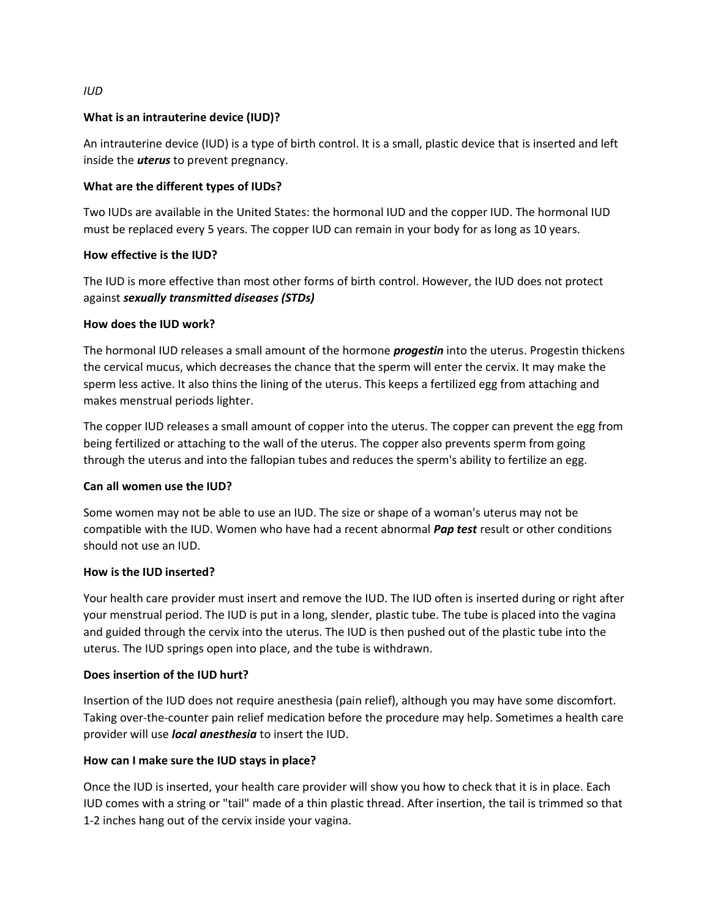# **What is an intrauterine device (IUD)?**

An intrauterine device (IUD) is a type of birth control. It is a small, plastic device that is inserted and left inside the *uterus* to prevent pregnancy.

### **What are the different types of IUDs?**

Two IUDs are available in the United States: the hormonal IUD and the copper IUD. The hormonal IUD must be replaced every 5 years. The copper IUD can remain in your body for as long as 10 years.

## **How effective is the IUD?**

The IUD is more effective than most other forms of birth control. However, the IUD does not protect against *sexually transmitted diseases (STDs)*

#### **How does the IUD work?**

The hormonal IUD releases a small amount of the hormone *progestin* into the uterus. Progestin thickens the cervical mucus, which decreases the chance that the sperm will enter the cervix. It may make the sperm less active. It also thins the lining of the uterus. This keeps a fertilized egg from attaching and makes menstrual periods lighter.

The copper IUD releases a small amount of copper into the uterus. The copper can prevent the egg from being fertilized or attaching to the wall of the uterus. The copper also prevents sperm from going through the uterus and into the fallopian tubes and reduces the sperm's ability to fertilize an egg.

#### **Can all women use the IUD?**

Some women may not be able to use an IUD. The size or shape of a woman's uterus may not be compatible with the IUD. Women who have had a recent abnormal *Pap test* result or other conditions should not use an IUD.

#### **How is the IUD inserted?**

Your health care provider must insert and remove the IUD. The IUD often is inserted during or right after your menstrual period. The IUD is put in a long, slender, plastic tube. The tube is placed into the vagina and guided through the cervix into the uterus. The IUD is then pushed out of the plastic tube into the uterus. The IUD springs open into place, and the tube is withdrawn.

#### **Does insertion of the IUD hurt?**

Insertion of the IUD does not require anesthesia (pain relief), although you may have some discomfort. Taking over-the-counter pain relief medication before the procedure may help. Sometimes a health care provider will use *local anesthesia* to insert the IUD.

#### **How can I make sure the IUD stays in place?**

Once the IUD is inserted, your health care provider will show you how to check that it is in place. Each IUD comes with a string or "tail" made of a thin plastic thread. After insertion, the tail is trimmed so that 1-2 inches hang out of the cervix inside your vagina.